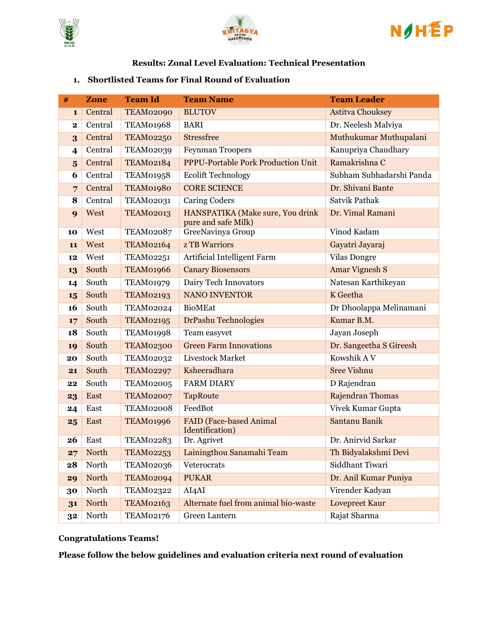





#### **Results: Zonal Level Evaluation: Technical Presentation**

#### **1. Shortlisted Teams for Final Round of Evaluation**

| #                       | Zone    | <b>Team Id</b>   | <b>Team Name</b>                                        | <b>Team Leader</b>       |  |
|-------------------------|---------|------------------|---------------------------------------------------------|--------------------------|--|
| $\mathbf{1}$            | Central | <b>TEAM02090</b> | <b>BLUTOV</b>                                           | <b>Astitva Chouksey</b>  |  |
| 2                       | Central | TEAM01968        | <b>BARI</b>                                             | Dr. Neelesh Malviya      |  |
| 3                       | Central | <b>TEAM02250</b> | <b>Stressfree</b>                                       | Muthukumar Muthupalani   |  |
| 4                       | Central | <b>TEAM02039</b> | <b>Feynman Troopers</b>                                 | Kanupriya Chaudhary      |  |
| $\overline{\mathbf{5}}$ | Central | <b>TEAM02184</b> | <b>PPPU-Portable Pork Production Unit</b>               | Ramakrishna C            |  |
| 6                       | Central | <b>TEAM01958</b> | <b>Ecolift Technology</b>                               | Subham Subhadarshi Panda |  |
| $\overline{7}$          | Central | TEAM01980        | <b>CORE SCIENCE</b>                                     | Dr. Shivani Bante        |  |
| 8                       | Central | <b>TEAM02031</b> | <b>Caring Coders</b>                                    | Satvik Pathak            |  |
| 9                       | West    | <b>TEAM02013</b> | HANSPATIKA (Make sure, You drink<br>pure and safe Milk) | Dr. Vimal Ramani         |  |
| 10                      | West    | TEAM02087        | GreeNavinya Group                                       | Vinod Kadam              |  |
| 11                      | West    | <b>TEAM02164</b> | <b>z TB Warriors</b>                                    | Gayatri Jayaraj          |  |
| 12                      | West    | <b>TEAM02251</b> | Artificial Intelligent Farm                             | <b>Vilas Dongre</b>      |  |
| 13                      | South   | TEAM01966        | <b>Canary Biosensors</b>                                | <b>Amar Vignesh S</b>    |  |
| 14                      | South   | <b>TEAM01979</b> | Dairy Tech Innovators                                   | Natesan Karthikeyan      |  |
| 15                      | South   | <b>TEAM02193</b> | <b>NANO INVENTOR</b>                                    | K Geetha                 |  |
| 16                      | South   | <b>TEAM02024</b> | <b>BioMEat</b>                                          | Dr Dhoolappa Melinamani  |  |
| 17                      | South   | <b>TEAM02195</b> | DrPashu Technologies                                    | Kumar B.M.               |  |
| 18                      | South   | <b>TEAM01998</b> | Team easyvet                                            | Jayan Joseph             |  |
| 19                      | South   | TEAM02300        | <b>Green Farm Innovations</b>                           | Dr. Sangeetha S Gireesh  |  |
| 20                      | South   | TEAM02032        | Livestock Market                                        | Kowshik A V              |  |
| 21                      | South   | <b>TEAM02297</b> | Ksheeradhara                                            | <b>Sree Vishnu</b>       |  |
| 22                      | South   | <b>TEAM02005</b> | <b>FARM DIARY</b>                                       | D Rajendran              |  |
| 23                      | East    | <b>TEAM02007</b> | <b>TapRoute</b>                                         | Rajendran Thomas         |  |
| 24                      | East    | TEAM02008        | FeedBot                                                 | Vivek Kumar Gupta        |  |
| 25                      | East    | TEAM01996        | <b>FAID</b> (Face-based Animal<br>Identification)       | Santanu Banik            |  |
| 26                      | East    | TEAM02283        | Dr. Agrivet                                             | Dr. Anirvid Sarkar       |  |
| 27                      | North   | <b>TEAM02253</b> | Lainingthou Sanamahi Team                               | Th Bidyalakshmi Devi     |  |
| 28                      | North   | TEAM02036        | Veterocrats                                             | Siddhant Tiwari          |  |
| 29                      | North   | <b>TEAM02094</b> | <b>PUKAR</b>                                            | Dr. Anil Kumar Puniya    |  |
| 30                      | North   | <b>TEAM02322</b> | AI4AI                                                   | Virender Kadyan          |  |
| 31                      | North   | <b>TEAM02163</b> | Alternate fuel from animal bio-waste                    | Lovepreet Kaur           |  |
| 32                      | North   | <b>TEAM02176</b> | Green Lantern                                           | Rajat Sharma             |  |

### **Congratulations Teams!**

**Please follow the below guidelines and evaluation criteria next round of evaluation**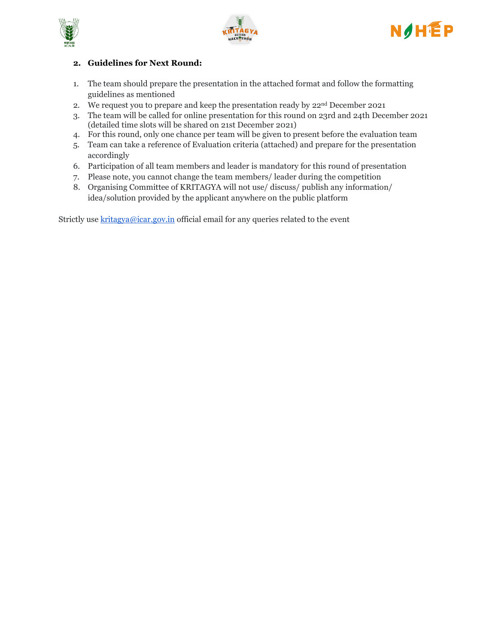





## **2. Guidelines for Next Round:**

- 1. The team should prepare the presentation in the attached format and follow the formatting guidelines as mentioned
- 2. We request you to prepare and keep the presentation ready by  $22^{\text{nd}}$  December 2021
- 3. The team will be called for online presentation for this round on 23rd and 24th December 2021 (detailed time slots will be shared on 21st December 2021)
- 4. For this round, only one chance per team will be given to present before the evaluation team
- 5. Team can take a reference of Evaluation criteria (attached) and prepare for the presentation accordingly
- 6. Participation of all team members and leader is mandatory for this round of presentation
- 7. Please note, you cannot change the team members/ leader during the competition
- 8. Organising Committee of KRITAGYA will not use/ discuss/ publish any information/ idea/solution provided by the applicant anywhere on the public platform

Strictly use  $krita gya@icar.gov.in$  official email for any queries related to the event